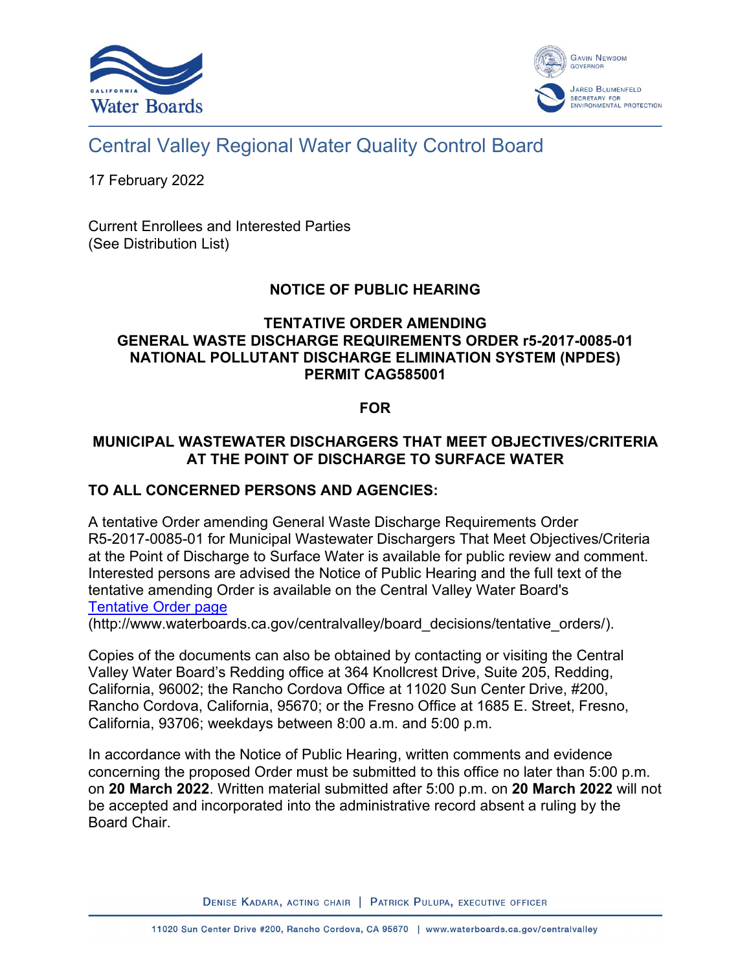



# Central Valley Regional Water Quality Control Board

17 February 2022

Current Enrollees and Interested Parties (See Distribution List)

# **NOTICE OF PUBLIC HEARING**

#### **TENTATIVE ORDER AMENDING GENERAL WASTE DISCHARGE REQUIREMENTS ORDER r5-2017-0085-01 NATIONAL POLLUTANT DISCHARGE ELIMINATION SYSTEM (NPDES) PERMIT CAG585001**

### **FOR**

## **MUNICIPAL WASTEWATER DISCHARGERS THAT MEET OBJECTIVES/CRITERIA AT THE POINT OF DISCHARGE TO SURFACE WATER**

#### **TO ALL CONCERNED PERSONS AND AGENCIES:**

A tentative Order amending General Waste Discharge Requirements Order R5-2017-0085-01 for Municipal Wastewater Dischargers That Meet Objectives/Criteria at the Point of Discharge to Surface Water is available for public review and comment. Interested persons are advised the Notice of Public Hearing and the full text of the tentative amending Order is available on the Central Valley Water Board's [Tentative Order page](http://www.waterboards.ca.gov/centralvalley/board_decisions/tentative_orders/)

(http://www.waterboards.ca.gov/centralvalley/board\_decisions/tentative\_orders/).

Copies of the documents can also be obtained by contacting or visiting the Central Valley Water Board's Redding office at 364 Knollcrest Drive, Suite 205, Redding, California, 96002; the Rancho Cordova Office at 11020 Sun Center Drive, #200, Rancho Cordova, California, 95670; or the Fresno Office at 1685 E. Street, Fresno, California, 93706; weekdays between 8:00 a.m. and 5:00 p.m.

In accordance with the Notice of Public Hearing, written comments and evidence concerning the proposed Order must be submitted to this office no later than 5:00 p.m. on **20 March 2022**. Written material submitted after 5:00 p.m. on **20 March 2022** will not be accepted and incorporated into the administrative record absent a ruling by the Board Chair.

DENISE KADARA, ACTING CHAIR | PATRICK PULUPA, EXECUTIVE OFFICER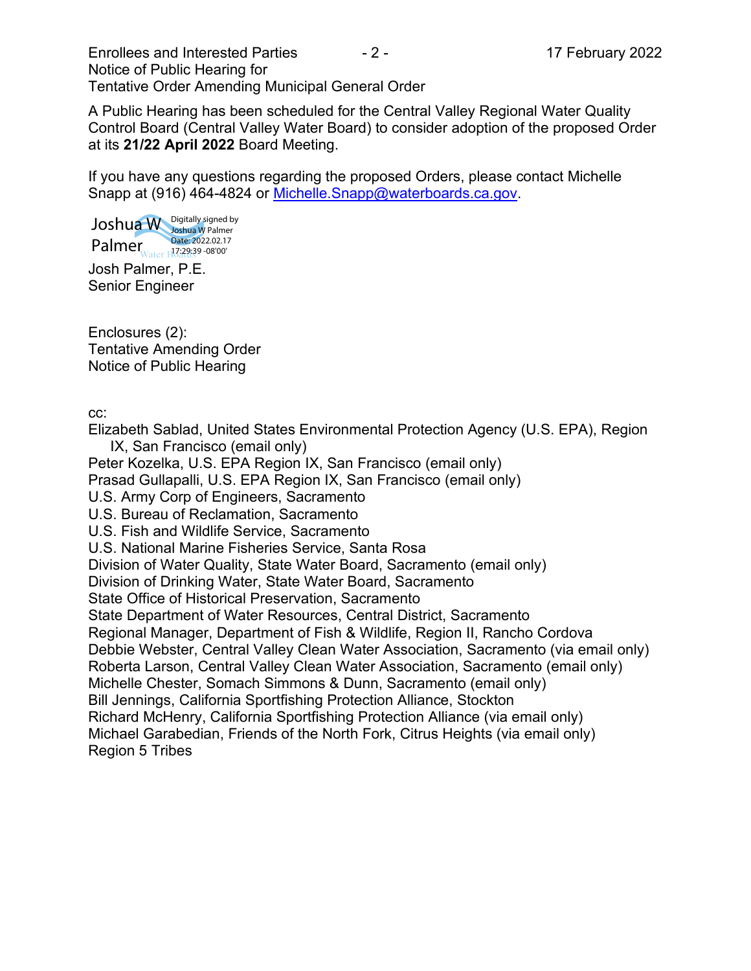Enrollees and Interested Parties **- 2 - 17 February 2022** Notice of Public Hearing for Tentative Order Amending Municipal General Order

A Public Hearing has been scheduled for the Central Valley Regional Water Quality Control Board (Central Valley Water Board) to consider adoption of the proposed Order at its **21/22 April 2022** Board Meeting.

If you have any questions regarding the proposed Orders, please contact Michelle Snapp at (916) 464-4824 or [Michelle.Snapp@waterboards.ca.gov.](mailto:Michelle.Snapp@waterboards.ca.gov)

Josh Palmer, P.E. Joshua W Palmer Digitally signed by Joshua W Palmer Date: 2022.02.17 17:29:39 -08'00'

Senior Engineer

Enclosures (2): Tentative Amending Order Notice of Public Hearing

cc:

Elizabeth Sablad, United States Environmental Protection Agency (U.S. EPA), Region IX, San Francisco (email only)

Peter Kozelka, U.S. EPA Region IX, San Francisco (email only)

Prasad Gullapalli, U.S. EPA Region IX, San Francisco (email only)

U.S. Army Corp of Engineers, Sacramento

U.S. Bureau of Reclamation, Sacramento

U.S. Fish and Wildlife Service, Sacramento

U.S. National Marine Fisheries Service, Santa Rosa

Division of Water Quality, State Water Board, Sacramento (email only)

Division of Drinking Water, State Water Board, Sacramento

State Office of Historical Preservation, Sacramento

State Department of Water Resources, Central District, Sacramento

Regional Manager, Department of Fish & Wildlife, Region II, Rancho Cordova

Debbie Webster, Central Valley Clean Water Association, Sacramento (via email only)

Roberta Larson, Central Valley Clean Water Association, Sacramento (email only)

Michelle Chester, Somach Simmons & Dunn, Sacramento (email only)

Bill Jennings, California Sportfishing Protection Alliance, Stockton

Richard McHenry, California Sportfishing Protection Alliance (via email only)

Michael Garabedian, Friends of the North Fork, Citrus Heights (via email only) Region 5 Tribes